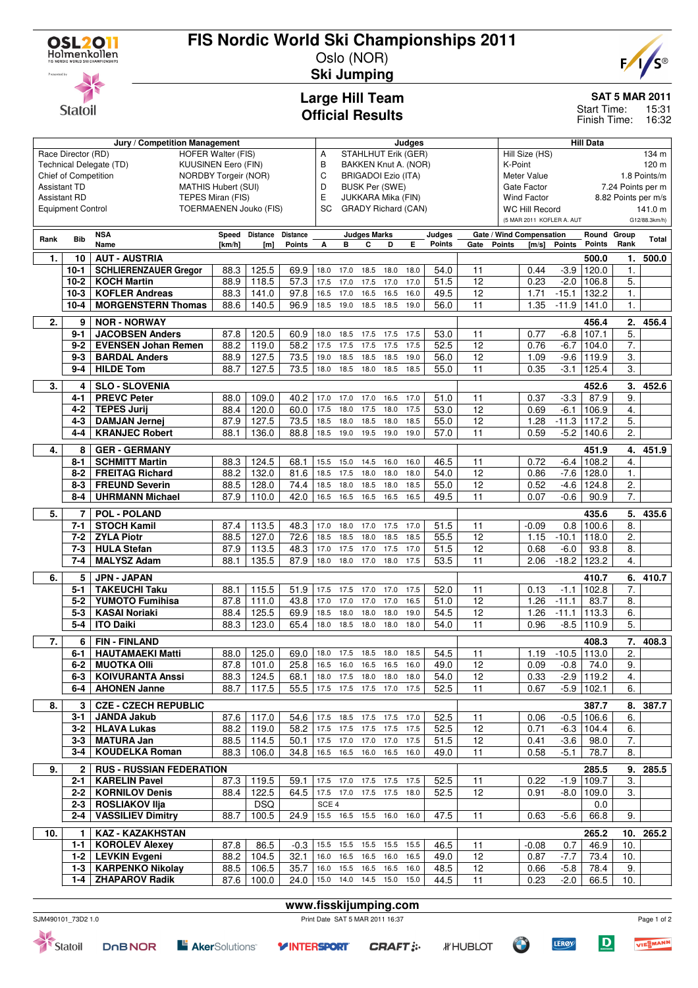

**Statoil** 

## **FIS Nordic World Ski Championships 2011**

Oslo (NOR) **Ski Jumping**



**SAT 5 MAR 2011**

15:31 Finish Time: 16:32 Start Time:

## **Large Hill Team Official Results**

|                     | Jury / Competition Management                                                                            |                                                         |                               |                  |                       |                  | Judges                                      |                            |      |      |               |                 |                                            | <b>Hill Data</b>                                |               |                |                  |                     |
|---------------------|----------------------------------------------------------------------------------------------------------|---------------------------------------------------------|-------------------------------|------------------|-----------------------|------------------|---------------------------------------------|----------------------------|------|------|---------------|-----------------|--------------------------------------------|-------------------------------------------------|---------------|----------------|------------------|---------------------|
|                     | HOFER Walter (FIS)<br>Race Director (RD)                                                                 |                                                         |                               |                  |                       |                  | STAHLHUT Erik (GER)<br>Α                    |                            |      |      |               |                 |                                            | Hill Size (HS)                                  |               |                |                  | 134 m               |
|                     | Technical Delegate (TD)<br><b>KUUSINEN Eero (FIN)</b>                                                    |                                                         |                               |                  |                       |                  | B<br>BAKKEN Knut A. (NOR)                   |                            |      |      |               |                 |                                            | K-Point                                         |               |                |                  | 120 m               |
|                     | Chief of Competition<br><b>NORDBY Torgeir (NOR)</b><br><b>Assistant TD</b><br><b>MATHIS Hubert (SUI)</b> |                                                         |                               |                  |                       |                  | C<br><b>BRIGADOI Ezio (ITA)</b>             |                            |      |      |               |                 | Meter Value                                |                                                 |               |                | 1.8 Points/m     |                     |
|                     |                                                                                                          |                                                         |                               |                  |                       | D                | <b>BUSK Per (SWE)</b><br>JUKKARA Mika (FIN) |                            |      |      |               |                 |                                            | Gate Factor<br>7.24 Points per m<br>Wind Factor |               |                |                  |                     |
| <b>Assistant RD</b> |                                                                                                          |                                                         | TEPES Miran (FIS)             |                  |                       | Ε                |                                             |                            |      |      |               |                 |                                            |                                                 |               |                |                  | 8.82 Points per m/s |
|                     | <b>Equipment Control</b>                                                                                 |                                                         | <b>TOERMAENEN Jouko (FIS)</b> |                  |                       | SC               |                                             | <b>GRADY Richard (CAN)</b> |      |      |               |                 |                                            | <b>WC Hill Record</b>                           |               |                |                  | 141.0 m             |
|                     |                                                                                                          |                                                         |                               |                  |                       |                  |                                             |                            |      |      |               |                 | (5 MAR 2011 KOFLER A. AUT<br>G12/88.3km/h) |                                                 |               |                |                  |                     |
| Rank                | <b>Bib</b>                                                                                               | <b>NSA</b>                                              |                               | Speed Distance   | <b>Distance</b>       |                  |                                             | <b>Judges Marks</b>        |      |      | Judges        |                 |                                            | Gate / Wind Compensation                        |               | Round Group    |                  | Total               |
|                     |                                                                                                          | Name                                                    | [km/h]                        | [ <sub>m</sub> ] | <b>Points</b>         | А                | в                                           | c                          | D    | E.   | <b>Points</b> | Gate            | <b>Points</b>                              | [m/s]                                           | <b>Points</b> | <b>Points</b>  | Rank             |                     |
| 1.                  | 10                                                                                                       | <b>AUT - AUSTRIA</b>                                    |                               |                  |                       |                  |                                             |                            |      |      |               |                 |                                            |                                                 |               | 500.0          | 1.               | 500.0               |
|                     | $10-1$                                                                                                   | <b>SCHLIERENZAUER Gregor</b>                            | 88.3                          | 125.5            | 69.9                  | 18.0             | 17.0                                        | 18.5                       | 18.0 | 18.0 | 54.0          | 11              |                                            | 0.44                                            | $-3.9$        | 120.0          | $\mathbf 1$ .    |                     |
|                     | $10 - 2$                                                                                                 | <b>KOCH Martin</b>                                      | 88.9                          | 118.5            | 57.3                  | 17.5             | 17.0                                        | 17.5                       | 17.0 | 17.0 | 51.5          | 12              |                                            | 0.23                                            | $-2.0$        | 106.8          | 5.               |                     |
|                     | $10-3$                                                                                                   | <b>KOFLER Andreas</b>                                   | 88.3                          | 141.0            | 97.8                  | 16.5             | 17.0                                        | 16.5                       | 16.5 | 16.0 | 49.5          | 12              |                                            | 1.71                                            | $-15.1$       | 132.2          | $\mathbf{1}$ .   |                     |
|                     | $10 - 4$                                                                                                 | <b>MORGENSTERN Thomas</b>                               | 88.6                          | 140.5            | 96.9                  | 18.5             | 19.0                                        | 18.5 18.5                  |      | 19.0 | 56.0          | 11              |                                            | 1.35                                            | $-11.9$       | 141.0          | 1.               |                     |
| 2.                  | 9                                                                                                        | <b>NOR - NORWAY</b>                                     |                               |                  |                       |                  |                                             |                            |      |      |               |                 |                                            |                                                 |               | 456.4          | 2.               | 456.4               |
|                     | $9 - 1$                                                                                                  | <b>JACOBSEN Anders</b>                                  | 87.8                          | 120.5            | 60.9                  | 18.0             | 18.5                                        | 17.5                       | 17.5 | 17.5 | 53.0          | 11              |                                            | 0.77                                            | $-6.8$        | 107.1          | 5.               |                     |
|                     | $9-2$                                                                                                    | <b>EVENSEN Johan Remen</b>                              | 88.2                          | 119.0            | 58.2                  | 17.5             | 17.5                                        | 17.5                       | 17.5 | 17.5 | 52.5          | 12              |                                            | 0.76                                            | $-6.7$        | 104.0          | $\overline{7}$ . |                     |
|                     | $9 - 3$                                                                                                  | <b>BARDAL Anders</b>                                    | 88.9                          | 127.5            | 73.5                  | 19.0             | 18.5                                        | 18.5                       | 18.5 | 19.0 | 56.0          | 12              |                                            | 1.09                                            | $-9.6$        | 119.9          | 3.               |                     |
|                     | $9 - 4$                                                                                                  | <b>HILDE Tom</b>                                        | 88.7                          | 127.5            | 73.5                  | 18.0             | 18.5                                        | 18.0                       | 18.5 | 18.5 | 55.0          | $\overline{11}$ |                                            | 0.35                                            | $-3.1$        | 125.4          | 3.               |                     |
| 3.                  |                                                                                                          | <b>SLO - SLOVENIA</b>                                   |                               |                  |                       |                  |                                             |                            |      |      |               |                 |                                            |                                                 |               |                | 3.               |                     |
|                     | 4<br>4-1                                                                                                 | <b>PREVC Peter</b>                                      | 88.0                          | 109.0            | 40.2                  | 17.0             | 17.0                                        | 17.0                       | 16.5 | 17.0 | 51.0          | 11              |                                            | 0.37                                            | $-3.3$        | 452.6<br>87.9  | 9.               | 452.6               |
|                     | 4-2                                                                                                      | <b>TEPES Jurij</b>                                      | 88.4                          | 120.0            | 60.0                  | 17.5             | 18.0                                        | 17.5                       | 18.0 | 17.5 | 53.0          | 12              |                                            | 0.69                                            | $-6.1$        | 106.9          | 4.               |                     |
|                     | $4 - 3$                                                                                                  | <b>DAMJAN Jernej</b>                                    | 87.9                          | 127.5            | 73.5                  | 18.5             | 18.0                                        | 18.5                       | 18.0 | 18.5 | 55.0          | 12              |                                            | 1.28                                            | $-11.3$       | 117.2          | 5.               |                     |
|                     | 4-4                                                                                                      | <b>KRANJEC Robert</b>                                   | 88.1                          | 136.0            | 88.8                  | 18.5             | 19.0                                        | 19.5                       | 19.0 | 19.0 | 57.0          | 11              |                                            | 0.59                                            |               | $-5.2$ 140.6   | 2.               |                     |
|                     |                                                                                                          |                                                         |                               |                  |                       |                  |                                             |                            |      |      |               |                 |                                            |                                                 |               |                |                  |                     |
| 4.                  | 8                                                                                                        | <b>GER - GERMANY</b>                                    |                               |                  |                       |                  |                                             |                            |      |      |               |                 |                                            |                                                 |               | 451.9          | 4.               | 451.9               |
|                     | $8 - 1$                                                                                                  | <b>SCHMITT Martin</b>                                   | 88.3                          | 124.5            | 68.1                  | 15.5             | 15.0                                        | 14.5                       | 16.0 | 16.0 | 46.5          | 11              |                                            | 0.72                                            | $-6.4$        | 108.2          | 4.               |                     |
|                     | $8-2$                                                                                                    | <b>FREITAG Richard</b>                                  | 88.2                          | 132.0            | 81.6                  | 18.5             | 17.5                                        | 18.0                       | 18.0 | 18.0 | 54.0          | 12              |                                            | 0.86                                            | $-7.6$        | 128.0          | 1.               |                     |
|                     | $8 - 3$                                                                                                  | <b>FREUND Severin</b>                                   | 88.5                          | 128.0            | 74.4                  | 18.5             | 18.0                                        | 18.5                       | 18.0 | 18.5 | 55.0          | 12              |                                            | 0.52                                            | $-4.6$        | 124.8          | 2.               |                     |
|                     | $8 - 4$                                                                                                  | <b>UHRMANN Michael</b>                                  | 87.9                          | 110.0            | 42.0                  | 16.5             | 16.5                                        | 16.5                       | 16.5 | 16.5 | 49.5          | 11              |                                            | 0.07                                            | $-0.6$        | 90.9           | 7.               |                     |
| 5.                  | 7                                                                                                        | <b>POL - POLAND</b>                                     |                               |                  |                       |                  |                                             |                            |      |      |               |                 |                                            |                                                 |               | 435.6          | 5.               | 435.6               |
|                     | $7 - 1$                                                                                                  | <b>STOCH Kamil</b>                                      | 87.4                          | 113.5            | 48.3                  | 17.0             | 18.0                                        | 17.0                       | 17.5 | 17.0 | 51.5          | 11              |                                            | $-0.09$                                         | 0.8           | 100.6          | 8.               |                     |
|                     | $7 - 2$                                                                                                  | <b>ZYLA Piotr</b>                                       | 88.5                          | 127.0            | 72.6                  | 18.5             | 18.5                                        | 18.0                       | 18.5 | 18.5 | 55.5          | 12              |                                            | 1.15                                            | $-10.1$       | 118.0          | 2.               |                     |
|                     | $7 - 3$                                                                                                  | <b>HULA</b> Stefan                                      | 87.9                          | 113.5            | 48.3                  | 17.0             | 17.5                                        | 17.0                       | 17.5 | 17.0 | 51.5          | $\overline{12}$ |                                            | 0.68                                            | $-6.0$        | 93.8           | 8.               |                     |
|                     | $7 - 4$                                                                                                  | <b>MALYSZ Adam</b>                                      | 88.1                          | 135.5            | 87.9                  | 18.0             | 18.0                                        | 17.0                       | 18.0 | 17.5 | 53.5          | 11              |                                            | 2.06                                            | $-18.2$       | 123.2          | 4.               |                     |
| 6.                  | 5                                                                                                        | <b>JPN - JAPAN</b>                                      |                               |                  |                       |                  |                                             |                            |      |      |               |                 |                                            |                                                 |               | 410.7          | 6.               | 410.7               |
|                     | $5 - 1$                                                                                                  | <b>TAKEUCHI Taku</b>                                    | 88.1                          | 115.5            | 51.9                  | 17.5             | 17.5                                        | 17.0                       | 17.0 | 17.5 | 52.0          | 11              |                                            | 0.13                                            | $-1.1$        | 102.8          | 7.               |                     |
|                     | $5 - 2$                                                                                                  | <b>YUMOTO Fumihisa</b>                                  | 87.8                          | 111.0            | 43.8                  | 17.0             | 17.0                                        | 17.0                       | 17.0 | 16.5 | 51.0          | 12              |                                            | 1.26                                            | $-11.1$       | 83.7           | 8.               |                     |
|                     | $5 - 3$                                                                                                  | <b>KASAI Noriaki</b>                                    | 88.4                          | 125.5            | 69.9                  | 18.5             | 18.0                                        | 18.0                       | 18.0 | 19.0 | 54.5          | 12              |                                            | 1.26                                            | $-11.1$       | 113.3          | 6.               |                     |
|                     | $5 - 4$                                                                                                  | <b>ITO Daiki</b>                                        | 88.3                          | 123.0            | 65.4                  | 18.0             | 18.5                                        | 18.0                       | 18.0 | 18.0 | 54.0          | 11              |                                            | 0.96                                            | $-8.5$        | 110.9          | 5.               |                     |
|                     |                                                                                                          |                                                         |                               |                  |                       |                  |                                             |                            |      |      |               |                 |                                            |                                                 |               |                |                  |                     |
| 7.                  | 6                                                                                                        | <b>FIN-FINLAND</b>                                      |                               |                  |                       |                  |                                             |                            |      |      |               |                 |                                            |                                                 |               | 408.3          | 7.               | 408.3               |
|                     | $6 - 1$                                                                                                  | <b>HAUTAMAEKI Matti</b>                                 | 88.0                          | 125.0            | 69.0                  |                  | 18.0 17.5 18.5 18.0                         |                            |      | 18.5 | 54.5          | 11              |                                            | 1.19                                            | $-10.5$ 113.0 |                | 2.               |                     |
|                     | $6-2$                                                                                                    | <b>MUOTKA OIII</b>                                      |                               | $87.8$ 101.0     | 25.8                  |                  | 16.5 16.0 16.5 16.5                         |                            |      | 16.0 | 49.0          | $\overline{12}$ |                                            | 0.09                                            |               | $-0.8$ 74.0    | 9.               |                     |
|                     |                                                                                                          | 6-3   KOIVURANTA Anssi                                  |                               | 88.3   124.5     | 68.1                  |                  | 18.0 17.5 18.0 18.0 18.0                    |                            |      |      | 54.0          | 12              |                                            | 0.33                                            |               | $-2.9$ 119.2   | 4.               |                     |
|                     | $6-4$                                                                                                    | <b>AHONEN Janne</b>                                     |                               | 88.7 117.5       | 55.5                  |                  | 17.5 17.5 17.5 17.0 17.5                    |                            |      |      | 52.5          | 11              |                                            | 0.67                                            |               | $-5.9$ 102.1   | 6.               |                     |
| 8.                  | 3                                                                                                        | <b>CZE - CZECH REPUBLIC</b>                             |                               |                  |                       |                  |                                             |                            |      |      |               |                 |                                            |                                                 |               | 387.7          | 8.               | 387.7               |
|                     | 3-1                                                                                                      | <b>JANDA Jakub</b>                                      | 87.6                          | 117.0            | 54.6                  |                  | 17.5 18.5 17.5 17.5                         |                            |      | 17.0 | 52.5          | 11              |                                            | 0.06                                            |               | $-0.5$ 106.6   | 6.               |                     |
|                     |                                                                                                          | 3-2   HLAVA Lukas                                       | 88.2                          | 119.0            | 58.2                  |                  | 17.5 17.5 17.5 17.5 17.5                    |                            |      |      | 52.5          | $\overline{12}$ |                                            | 0.71                                            |               | $-6.3$ 104.4   | 6.               |                     |
|                     | 3-3                                                                                                      | <b>MATURA Jan</b>                                       | 88.5                          | 114.5            | 50.1                  |                  | 17.5 17.0 17.0 17.0                         |                            |      | 17.5 | 51.5          | 12              |                                            | 0.41                                            | $-3.6$        | 98.0           | $\overline{7}$ . |                     |
|                     | 3-4                                                                                                      | <b>KOUDELKA Roman</b>                                   | 88.3                          | 106.0            | 34.8                  |                  | 16.5 16.5 16.0 16.5                         |                            |      | 16.0 | 49.0          | 11              |                                            | 0.58                                            | -5.1          | 78.7           | 8.               |                     |
|                     |                                                                                                          |                                                         |                               |                  |                       |                  |                                             |                            |      |      |               |                 |                                            |                                                 |               | 285.5          |                  |                     |
| 9.                  | $\mathbf{2}$<br>2-1                                                                                      | <b>RUS - RUSSIAN FEDERATION</b><br><b>KARELIN Pavel</b> |                               | 87.3 119.5       | 59.1                  |                  | 17.5 17.0 17.5 17.5 17.5                    |                            |      |      | 52.5          | 11              |                                            | 0.22                                            |               | $-1.9$ 109.7   | 9.<br>3.         | 285.5               |
|                     | $2-2$                                                                                                    | <b>KORNILOV Denis</b>                                   |                               | 122.5            | 64.5                  |                  | 17.5 17.0 17.5 17.5 18.0                    |                            |      |      | 52.5          | 12              |                                            |                                                 |               | $-8.0$   109.0 | 3.               |                     |
|                     | $2 - 3$                                                                                                  | <b>ROSLIAKOV IIja</b>                                   | 88.4                          | <b>DSQ</b>       |                       | SCE <sub>4</sub> |                                             |                            |      |      |               |                 |                                            | 0.91                                            |               | 0.0            |                  |                     |
|                     | 2-4                                                                                                      | <b>VASSILIEV Dimitry</b>                                | 88.7                          | 100.5            | 24.9                  |                  | 15.5 16.5 15.5 16.0 16.0                    |                            |      |      | 47.5          | 11              |                                            | 0.63                                            | $-5.6$        | 66.8           | 9.               |                     |
|                     |                                                                                                          |                                                         |                               |                  |                       |                  |                                             |                            |      |      |               |                 |                                            |                                                 |               |                |                  |                     |
| 10.                 | 1                                                                                                        | <b>KAZ - KAZAKHSTAN</b>                                 |                               |                  |                       |                  |                                             |                            |      |      |               |                 |                                            |                                                 |               | 265.2          |                  | 10. 265.2           |
|                     | $1 - 1$                                                                                                  | <b>KOROLEV Alexey</b>                                   | 87.8                          | 86.5             | -0.3                  |                  | 15.5 15.5 15.5 15.5                         |                            |      | 15.5 | 46.5          | 11              |                                            | -0.08                                           | 0.7           | 46.9           | 10.              |                     |
|                     |                                                                                                          | 1-2   LEVKIN Evgeni                                     | 88.2                          | 104.5            | 32.1                  |                  | 16.0  16.5  16.5  16.0                      |                            |      | 16.5 | 49.0          | 12              |                                            | 0.87                                            | $-7.7$        | 73.4           | 10.              |                     |
|                     |                                                                                                          | 1-3   KARPENKO Nikolay                                  | 88.5                          | 106.5            | 35.7                  |                  | 16.0 15.5 16.5 16.5 16.0                    |                            |      |      | 48.5          | 12              |                                            | 0.66                                            | $-5.8$        | 78.4           | 9.               |                     |
|                     | 1-4                                                                                                      | <b>ZHAPAROV Radik</b>                                   | 87.6                          | 100.0            | 24.0                  |                  | 15.0 14.0 14.5 15.0 15.0                    |                            |      |      | 44.5          | 11              |                                            | 0.23                                            | $-2.0$        | 66.5           | 10.              |                     |
|                     |                                                                                                          |                                                         |                               |                  |                       |                  |                                             |                            |      |      |               |                 |                                            |                                                 |               |                |                  |                     |
|                     |                                                                                                          |                                                         |                               |                  | www.fisskijumping.com |                  |                                             |                            |      |      |               |                 |                                            |                                                 |               |                |                  |                     |



Statoil





*IF* HUBLOT

 $\bullet$ 

Page 1 of 2